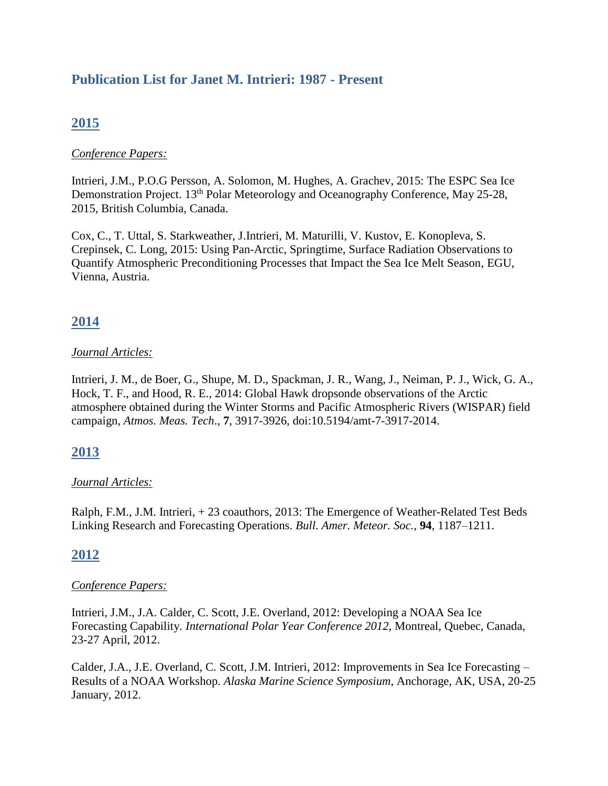# **Publication List for Janet M. Intrieri: 1987 - Present**

# **2015**

### *Conference Papers:*

Intrieri, J.M., P.O.G Persson, A. Solomon, M. Hughes, A. Grachev, 2015: The ESPC Sea Ice Demonstration Project. 13<sup>th</sup> Polar Meteorology and Oceanography Conference, May 25-28, 2015, British Columbia, Canada.

Cox, C., T. Uttal, S. Starkweather, J.Intrieri, M. Maturilli, V. Kustov, E. Konopleva, S. Crepinsek, C. Long, 2015: Using Pan-Arctic, Springtime, Surface Radiation Observations to Quantify Atmospheric Preconditioning Processes that Impact the Sea Ice Melt Season, EGU, Vienna, Austria.

# **2014**

### *Journal Articles:*

Intrieri, J. M., de Boer, G., Shupe, M. D., Spackman, J. R., Wang, J., Neiman, P. J., Wick, G. A., Hock, T. F., and Hood, R. E., 2014: Global Hawk dropsonde observations of the Arctic atmosphere obtained during the Winter Storms and Pacific Atmospheric Rivers (WISPAR) field campaign, *Atmos. Meas. Tech*., **7**, 3917-3926, doi:10.5194/amt-7-3917-2014.

## **2013**

### *Journal Articles:*

Ralph, F.M., J.M. Intrieri, + 23 coauthors, 2013: The Emergence of Weather-Related Test Beds Linking Research and Forecasting Operations. *Bull. Amer. Meteor. Soc.*, **94**, 1187–1211.

# **2012**

### *Conference Papers:*

Intrieri, J.M., J.A. Calder, C. Scott, J.E. Overland, 2012: Developing a NOAA Sea Ice Forecasting Capability. *International Polar Year Conference 2012*, Montreal, Quebec, Canada, 23-27 April, 2012.

Calder, J.A., J.E. Overland, C. Scott, J.M. Intrieri, 2012: Improvements in Sea Ice Forecasting – Results of a NOAA Workshop. *Alaska Marine Science Symposium*, Anchorage, AK, USA, 20-25 January, 2012.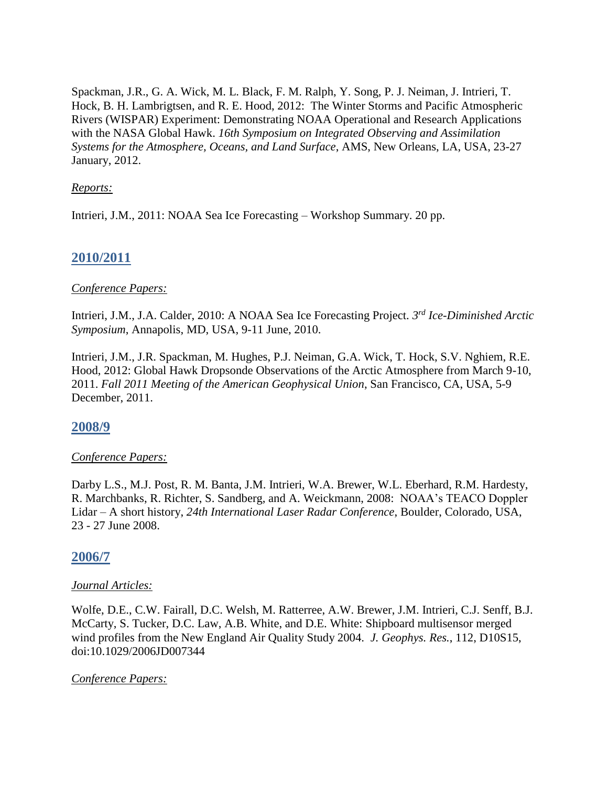Spackman, J.R., G. A. Wick, M. L. Black, F. M. Ralph, Y. Song, P. J. Neiman, J. Intrieri, T. Hock, B. H. Lambrigtsen, and R. E. Hood, 2012: The Winter Storms and Pacific Atmospheric Rivers (WISPAR) Experiment: Demonstrating NOAA Operational and Research Applications with the NASA Global Hawk. *16th Symposium on Integrated Observing and Assimilation Systems for the Atmosphere, Oceans, and Land Surface*, AMS, New Orleans, LA, USA, 23-27 January, 2012.

### *Reports:*

Intrieri, J.M., 2011: NOAA Sea Ice Forecasting – Workshop Summary. 20 pp.

# **2010/2011**

### *Conference Papers:*

Intrieri, J.M., J.A. Calder, 2010: A NOAA Sea Ice Forecasting Project. *3 rd Ice-Diminished Arctic Symposium*, Annapolis, MD, USA, 9-11 June, 2010.

Intrieri, J.M., J.R. Spackman, M. Hughes, P.J. Neiman, G.A. Wick, T. Hock, S.V. Nghiem, R.E. Hood, 2012: Global Hawk Dropsonde Observations of the Arctic Atmosphere from March 9-10, 2011. *Fall 2011 Meeting of the American Geophysical Union*, San Francisco, CA, USA, 5-9 December, 2011.

## **2008/9**

### *Conference Papers:*

Darby L.S., M.J. Post, R. M. Banta, J.M. Intrieri, W.A. Brewer, W.L. Eberhard, R.M. Hardesty, R. Marchbanks, R. Richter, S. Sandberg, and A. Weickmann, 2008: NOAA's TEACO Doppler Lidar – A short history, *24th International Laser Radar Conference*, Boulder, Colorado, USA, 23 - 27 June 2008.

## **2006/7**

### *Journal Articles:*

Wolfe, D.E., C.W. Fairall, D.C. Welsh, M. Ratterree, A.W. Brewer, J.M. Intrieri, C.J. Senff, B.J. McCarty, S. Tucker, D.C. Law, A.B. White, and D.E. White: Shipboard multisensor merged wind profiles from the New England Air Quality Study 2004. *J. Geophys. Res.*, 112, D10S15, doi:10.1029/2006JD007344

### *Conference Papers:*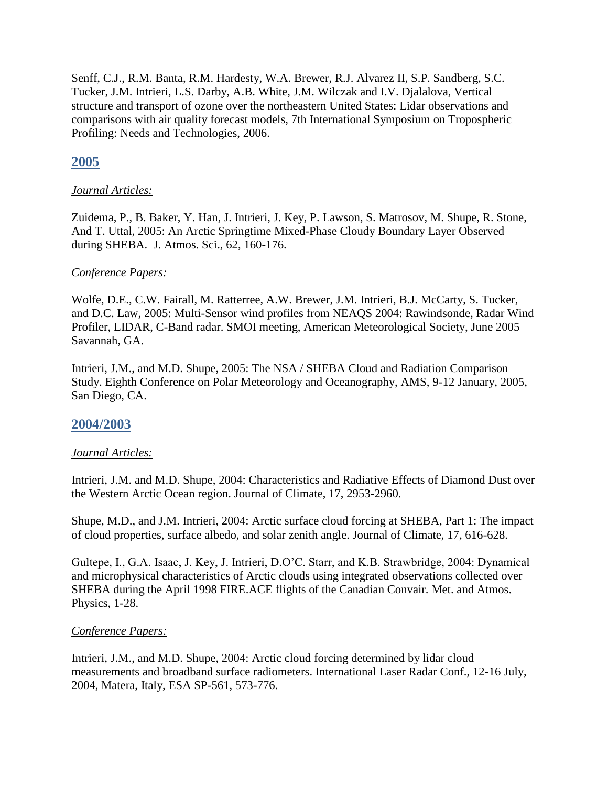Senff, C.J., R.M. Banta, R.M. Hardesty, W.A. Brewer, R.J. Alvarez II, S.P. Sandberg, S.C. Tucker, J.M. Intrieri, L.S. Darby, A.B. White, J.M. Wilczak and I.V. Djalalova, Vertical structure and transport of ozone over the northeastern United States: Lidar observations and comparisons with air quality forecast models, 7th International Symposium on Tropospheric Profiling: Needs and Technologies, 2006.

# **2005**

## *Journal Articles:*

Zuidema, P., B. Baker, Y. Han, J. Intrieri, J. Key, P. Lawson, S. Matrosov, M. Shupe, R. Stone, And T. Uttal, 2005: An Arctic Springtime Mixed-Phase Cloudy Boundary Layer Observed during SHEBA. J. Atmos. Sci., 62, 160-176.

## *Conference Papers:*

Wolfe, D.E., C.W. Fairall, M. Ratterree, A.W. Brewer, J.M. Intrieri, B.J. McCarty, S. Tucker, and D.C. Law, 2005: Multi-Sensor wind profiles from NEAQS 2004: Rawindsonde, Radar Wind Profiler, LIDAR, C-Band radar. SMOI meeting, American Meteorological Society, June 2005 Savannah, GA.

Intrieri, J.M., and M.D. Shupe, 2005: The NSA / SHEBA Cloud and Radiation Comparison Study. Eighth Conference on Polar Meteorology and Oceanography, AMS, 9-12 January, 2005, San Diego, CA.

## **2004/2003**

## *Journal Articles:*

Intrieri, J.M. and M.D. Shupe, 2004: Characteristics and Radiative Effects of Diamond Dust over the Western Arctic Ocean region. Journal of Climate, 17, 2953-2960.

Shupe, M.D., and J.M. Intrieri, 2004: Arctic surface cloud forcing at SHEBA, Part 1: The impact of cloud properties, surface albedo, and solar zenith angle. Journal of Climate, 17, 616-628.

Gultepe, I., G.A. Isaac, J. Key, J. Intrieri, D.O'C. Starr, and K.B. Strawbridge, 2004: Dynamical and microphysical characteristics of Arctic clouds using integrated observations collected over SHEBA during the April 1998 FIRE.ACE flights of the Canadian Convair. Met. and Atmos. Physics, 1-28.

## *Conference Papers:*

Intrieri, J.M., and M.D. Shupe, 2004: Arctic cloud forcing determined by lidar cloud measurements and broadband surface radiometers. International Laser Radar Conf., 12-16 July, 2004, Matera, Italy, ESA SP-561, 573-776.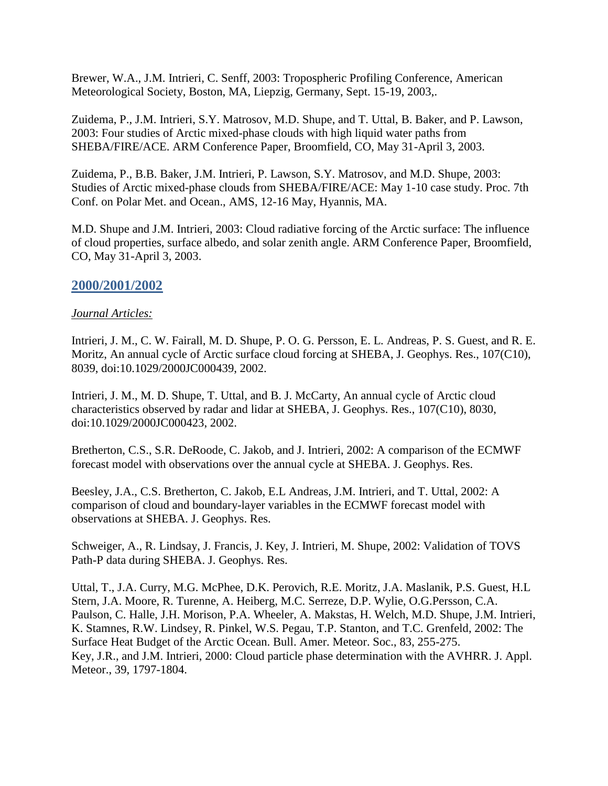Brewer, W.A., J.M. Intrieri, C. Senff, 2003: Tropospheric Profiling Conference, American Meteorological Society, Boston, MA, Liepzig, Germany, Sept. 15-19, 2003,.

Zuidema, P., J.M. Intrieri, S.Y. Matrosov, M.D. Shupe, and T. Uttal, B. Baker, and P. Lawson, 2003: Four studies of Arctic mixed-phase clouds with high liquid water paths from SHEBA/FIRE/ACE. ARM Conference Paper, Broomfield, CO, May 31-April 3, 2003.

Zuidema, P., B.B. Baker, J.M. Intrieri, P. Lawson, S.Y. Matrosov, and M.D. Shupe, 2003: Studies of Arctic mixed-phase clouds from SHEBA/FIRE/ACE: May 1-10 case study. Proc. 7th Conf. on Polar Met. and Ocean., AMS, 12-16 May, Hyannis, MA.

M.D. Shupe and J.M. Intrieri, 2003: Cloud radiative forcing of the Arctic surface: The influence of cloud properties, surface albedo, and solar zenith angle. ARM Conference Paper, Broomfield, CO, May 31-April 3, 2003.

## **2000/2001/2002**

### *Journal Articles:*

Intrieri, J. M., C. W. Fairall, M. D. Shupe, P. O. G. Persson, E. L. Andreas, P. S. Guest, and R. E. Moritz, An annual cycle of Arctic surface cloud forcing at SHEBA, J. Geophys. Res., 107(C10), 8039, doi:10.1029/2000JC000439, 2002.

Intrieri, J. M., M. D. Shupe, T. Uttal, and B. J. McCarty, An annual cycle of Arctic cloud characteristics observed by radar and lidar at SHEBA, J. Geophys. Res., 107(C10), 8030, doi:10.1029/2000JC000423, 2002.

Bretherton, C.S., S.R. DeRoode, C. Jakob, and J. Intrieri, 2002: A comparison of the ECMWF forecast model with observations over the annual cycle at SHEBA. J. Geophys. Res.

Beesley, J.A., C.S. Bretherton, C. Jakob, E.L Andreas, J.M. Intrieri, and T. Uttal, 2002: A comparison of cloud and boundary-layer variables in the ECMWF forecast model with observations at SHEBA. J. Geophys. Res.

Schweiger, A., R. Lindsay, J. Francis, J. Key, J. Intrieri, M. Shupe, 2002: Validation of TOVS Path-P data during SHEBA. J. Geophys. Res.

Uttal, T., J.A. Curry, M.G. McPhee, D.K. Perovich, R.E. Moritz, J.A. Maslanik, P.S. Guest, H.L Stern, J.A. Moore, R. Turenne, A. Heiberg, M.C. Serreze, D.P. Wylie, O.G.Persson, C.A. Paulson, C. Halle, J.H. Morison, P.A. Wheeler, A. Makstas, H. Welch, M.D. Shupe, J.M. Intrieri, K. Stamnes, R.W. Lindsey, R. Pinkel, W.S. Pegau, T.P. Stanton, and T.C. Grenfeld, 2002: The Surface Heat Budget of the Arctic Ocean. Bull. Amer. Meteor. Soc., 83, 255-275. Key, J.R., and J.M. Intrieri, 2000: Cloud particle phase determination with the AVHRR. J. Appl. Meteor., 39, 1797-1804.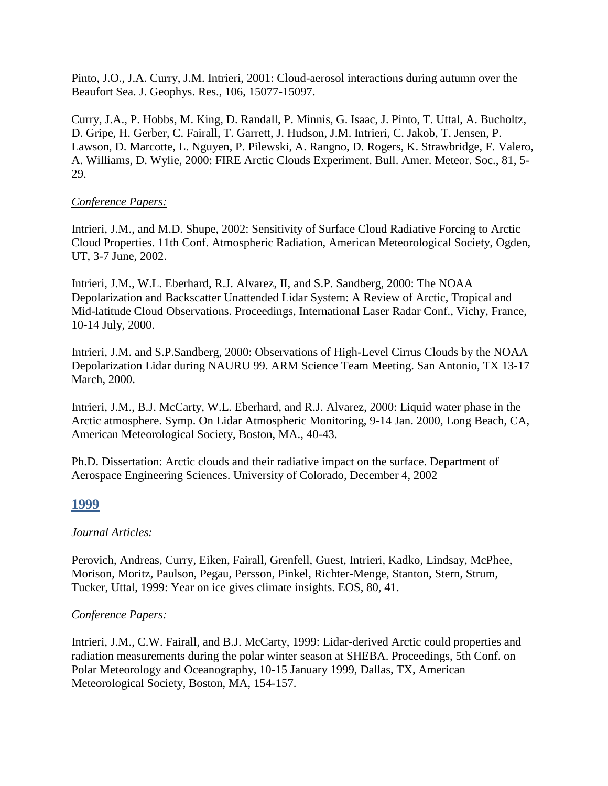Pinto, J.O., J.A. Curry, J.M. Intrieri, 2001: Cloud-aerosol interactions during autumn over the Beaufort Sea. J. Geophys. Res., 106, 15077-15097.

Curry, J.A., P. Hobbs, M. King, D. Randall, P. Minnis, G. Isaac, J. Pinto, T. Uttal, A. Bucholtz, D. Gripe, H. Gerber, C. Fairall, T. Garrett, J. Hudson, J.M. Intrieri, C. Jakob, T. Jensen, P. Lawson, D. Marcotte, L. Nguyen, P. Pilewski, A. Rangno, D. Rogers, K. Strawbridge, F. Valero, A. Williams, D. Wylie, 2000: FIRE Arctic Clouds Experiment. Bull. Amer. Meteor. Soc., 81, 5- 29.

### *Conference Papers:*

Intrieri, J.M., and M.D. Shupe, 2002: Sensitivity of Surface Cloud Radiative Forcing to Arctic Cloud Properties. 11th Conf. Atmospheric Radiation, American Meteorological Society, Ogden, UT, 3-7 June, 2002.

Intrieri, J.M., W.L. Eberhard, R.J. Alvarez, II, and S.P. Sandberg, 2000: The NOAA Depolarization and Backscatter Unattended Lidar System: A Review of Arctic, Tropical and Mid-latitude Cloud Observations. Proceedings, International Laser Radar Conf., Vichy, France, 10-14 July, 2000.

Intrieri, J.M. and S.P.Sandberg, 2000: Observations of High-Level Cirrus Clouds by the NOAA Depolarization Lidar during NAURU 99. ARM Science Team Meeting. San Antonio, TX 13-17 March, 2000.

Intrieri, J.M., B.J. McCarty, W.L. Eberhard, and R.J. Alvarez, 2000: Liquid water phase in the Arctic atmosphere. Symp. On Lidar Atmospheric Monitoring, 9-14 Jan. 2000, Long Beach, CA, American Meteorological Society, Boston, MA., 40-43.

Ph.D. Dissertation: Arctic clouds and their radiative impact on the surface. Department of Aerospace Engineering Sciences. University of Colorado, December 4, 2002

## **1999**

## *Journal Articles:*

Perovich, Andreas, Curry, Eiken, Fairall, Grenfell, Guest, Intrieri, Kadko, Lindsay, McPhee, Morison, Moritz, Paulson, Pegau, Persson, Pinkel, Richter-Menge, Stanton, Stern, Strum, Tucker, Uttal, 1999: Year on ice gives climate insights. EOS, 80, 41.

### *Conference Papers:*

Intrieri, J.M., C.W. Fairall, and B.J. McCarty, 1999: Lidar-derived Arctic could properties and radiation measurements during the polar winter season at SHEBA. Proceedings, 5th Conf. on Polar Meteorology and Oceanography, 10-15 January 1999, Dallas, TX, American Meteorological Society, Boston, MA, 154-157.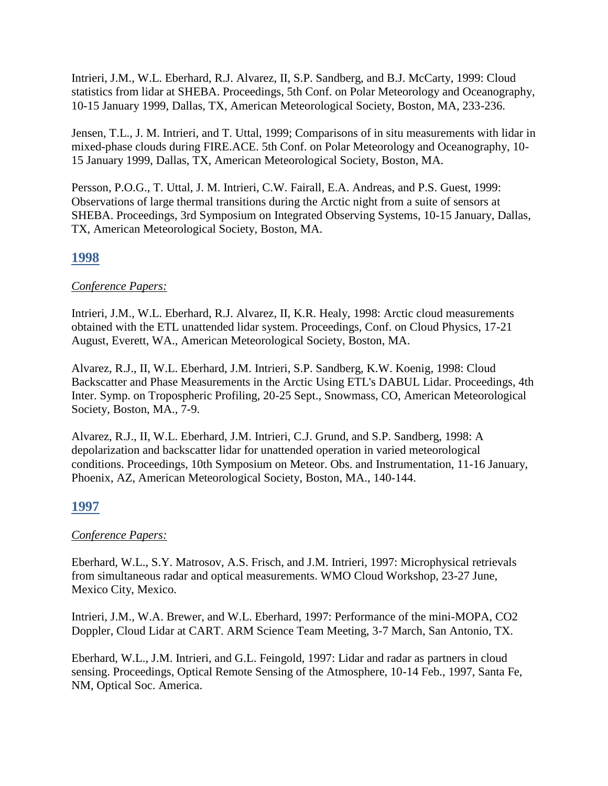Intrieri, J.M., W.L. Eberhard, R.J. Alvarez, II, S.P. Sandberg, and B.J. McCarty, 1999: Cloud statistics from lidar at SHEBA. Proceedings, 5th Conf. on Polar Meteorology and Oceanography, 10-15 January 1999, Dallas, TX, American Meteorological Society, Boston, MA, 233-236.

Jensen, T.L., J. M. Intrieri, and T. Uttal, 1999; Comparisons of in situ measurements with lidar in mixed-phase clouds during FIRE.ACE. 5th Conf. on Polar Meteorology and Oceanography, 10- 15 January 1999, Dallas, TX, American Meteorological Society, Boston, MA.

Persson, P.O.G., T. Uttal, J. M. Intrieri, C.W. Fairall, E.A. Andreas, and P.S. Guest, 1999: Observations of large thermal transitions during the Arctic night from a suite of sensors at SHEBA. Proceedings, 3rd Symposium on Integrated Observing Systems, 10-15 January, Dallas, TX, American Meteorological Society, Boston, MA.

## **1998**

## *Conference Papers:*

Intrieri, J.M., W.L. Eberhard, R.J. Alvarez, II, K.R. Healy, 1998: Arctic cloud measurements obtained with the ETL unattended lidar system. Proceedings, Conf. on Cloud Physics, 17-21 August, Everett, WA., American Meteorological Society, Boston, MA.

Alvarez, R.J., II, W.L. Eberhard, J.M. Intrieri, S.P. Sandberg, K.W. Koenig, 1998: Cloud Backscatter and Phase Measurements in the Arctic Using ETL's DABUL Lidar. Proceedings, 4th Inter. Symp. on Tropospheric Profiling, 20-25 Sept., Snowmass, CO, American Meteorological Society, Boston, MA., 7-9.

Alvarez, R.J., II, W.L. Eberhard, J.M. Intrieri, C.J. Grund, and S.P. Sandberg, 1998: A depolarization and backscatter lidar for unattended operation in varied meteorological conditions. Proceedings, 10th Symposium on Meteor. Obs. and Instrumentation, 11-16 January, Phoenix, AZ, American Meteorological Society, Boston, MA., 140-144.

# **1997**

## *Conference Papers:*

Eberhard, W.L., S.Y. Matrosov, A.S. Frisch, and J.M. Intrieri, 1997: Microphysical retrievals from simultaneous radar and optical measurements. WMO Cloud Workshop, 23-27 June, Mexico City, Mexico.

Intrieri, J.M., W.A. Brewer, and W.L. Eberhard, 1997: Performance of the mini-MOPA, CO2 Doppler, Cloud Lidar at CART. ARM Science Team Meeting, 3-7 March, San Antonio, TX.

Eberhard, W.L., J.M. Intrieri, and G.L. Feingold, 1997: Lidar and radar as partners in cloud sensing. Proceedings, Optical Remote Sensing of the Atmosphere, 10-14 Feb., 1997, Santa Fe, NM, Optical Soc. America.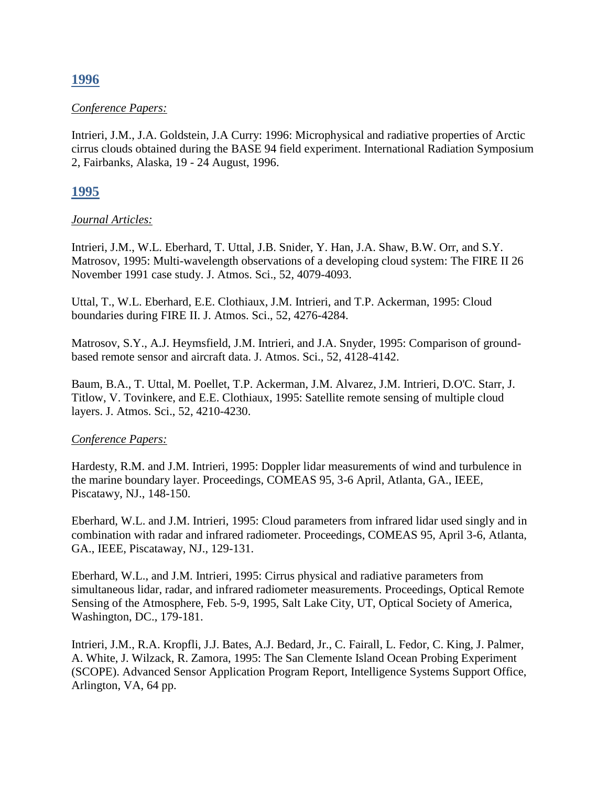## **1996**

#### *Conference Papers:*

Intrieri, J.M., J.A. Goldstein, J.A Curry: 1996: Microphysical and radiative properties of Arctic cirrus clouds obtained during the BASE 94 field experiment. International Radiation Symposium 2, Fairbanks, Alaska, 19 - 24 August, 1996.

## **1995**

#### *Journal Articles:*

Intrieri, J.M., W.L. Eberhard, T. Uttal, J.B. Snider, Y. Han, J.A. Shaw, B.W. Orr, and S.Y. Matrosov, 1995: Multi-wavelength observations of a developing cloud system: The FIRE II 26 November 1991 case study. J. Atmos. Sci., 52, 4079-4093.

Uttal, T., W.L. Eberhard, E.E. Clothiaux, J.M. Intrieri, and T.P. Ackerman, 1995: Cloud boundaries during FIRE II. J. Atmos. Sci., 52, 4276-4284.

Matrosov, S.Y., A.J. Heymsfield, J.M. Intrieri, and J.A. Snyder, 1995: Comparison of groundbased remote sensor and aircraft data. J. Atmos. Sci., 52, 4128-4142.

Baum, B.A., T. Uttal, M. Poellet, T.P. Ackerman, J.M. Alvarez, J.M. Intrieri, D.O'C. Starr, J. Titlow, V. Tovinkere, and E.E. Clothiaux, 1995: Satellite remote sensing of multiple cloud layers. J. Atmos. Sci., 52, 4210-4230.

### *Conference Papers:*

Hardesty, R.M. and J.M. Intrieri, 1995: Doppler lidar measurements of wind and turbulence in the marine boundary layer. Proceedings, COMEAS 95, 3-6 April, Atlanta, GA., IEEE, Piscatawy, NJ., 148-150.

Eberhard, W.L. and J.M. Intrieri, 1995: Cloud parameters from infrared lidar used singly and in combination with radar and infrared radiometer. Proceedings, COMEAS 95, April 3-6, Atlanta, GA., IEEE, Piscataway, NJ., 129-131.

Eberhard, W.L., and J.M. Intrieri, 1995: Cirrus physical and radiative parameters from simultaneous lidar, radar, and infrared radiometer measurements. Proceedings, Optical Remote Sensing of the Atmosphere, Feb. 5-9, 1995, Salt Lake City, UT, Optical Society of America, Washington, DC., 179-181.

Intrieri, J.M., R.A. Kropfli, J.J. Bates, A.J. Bedard, Jr., C. Fairall, L. Fedor, C. King, J. Palmer, A. White, J. Wilzack, R. Zamora, 1995: The San Clemente Island Ocean Probing Experiment (SCOPE). Advanced Sensor Application Program Report, Intelligence Systems Support Office, Arlington, VA, 64 pp.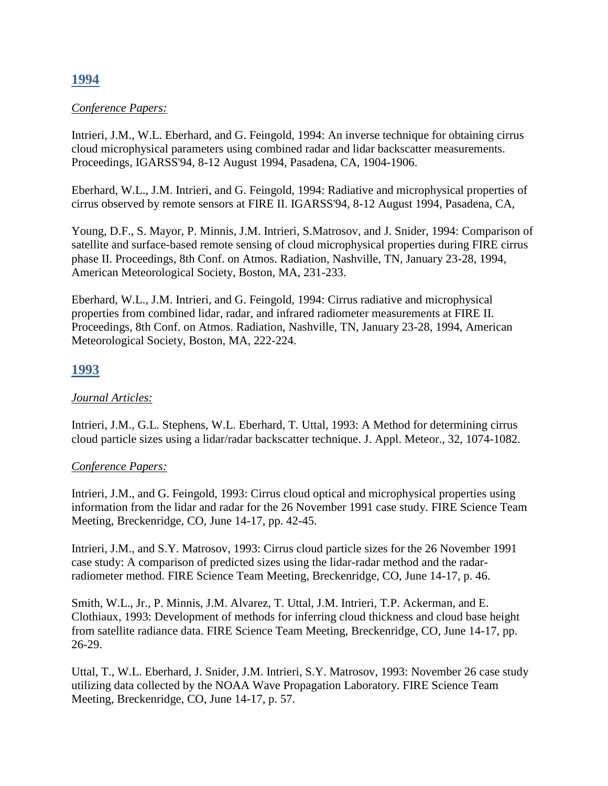# **1994**

### *Conference Papers:*

Intrieri, J.M., W.L. Eberhard, and G. Feingold, 1994: An inverse technique for obtaining cirrus cloud microphysical parameters using combined radar and lidar backscatter measurements. Proceedings, IGARSS'94, 8-12 August 1994, Pasadena, CA, 1904-1906.

Eberhard, W.L., J.M. Intrieri, and G. Feingold, 1994: Radiative and microphysical properties of cirrus observed by remote sensors at FIRE II. IGARSS'94, 8-12 August 1994, Pasadena, CA,

Young, D.F., S. Mayor, P. Minnis, J.M. Intrieri, S.Matrosov, and J. Snider, 1994: Comparison of satellite and surface-based remote sensing of cloud microphysical properties during FIRE cirrus phase II. Proceedings, 8th Conf. on Atmos. Radiation, Nashville, TN, January 23-28, 1994, American Meteorological Society, Boston, MA, 231-233.

Eberhard, W.L., J.M. Intrieri, and G. Feingold, 1994: Cirrus radiative and microphysical properties from combined lidar, radar, and infrared radiometer measurements at FIRE II. Proceedings, 8th Conf. on Atmos. Radiation, Nashville, TN, January 23-28, 1994, American Meteorological Society, Boston, MA, 222-224.

## **1993**

### *Journal Articles:*

Intrieri, J.M., G.L. Stephens, W.L. Eberhard, T. Uttal, 1993: A Method for determining cirrus cloud particle sizes using a lidar/radar backscatter technique. J. Appl. Meteor., 32, 1074-1082.

### *Conference Papers:*

Intrieri, J.M., and G. Feingold, 1993: Cirrus cloud optical and microphysical properties using information from the lidar and radar for the 26 November 1991 case study. FIRE Science Team Meeting, Breckenridge, CO, June 14-17, pp. 42-45.

Intrieri, J.M., and S.Y. Matrosov, 1993: Cirrus cloud particle sizes for the 26 November 1991 case study: A comparison of predicted sizes using the lidar-radar method and the radarradiometer method. FIRE Science Team Meeting, Breckenridge, CO, June 14-17, p. 46.

Smith, W.L., Jr., P. Minnis, J.M. Alvarez, T. Uttal, J.M. Intrieri, T.P. Ackerman, and E. Clothiaux, 1993: Development of methods for inferring cloud thickness and cloud base height from satellite radiance data. FIRE Science Team Meeting, Breckenridge, CO, June 14-17, pp. 26-29.

Uttal, T., W.L. Eberhard, J. Snider, J.M. Intrieri, S.Y. Matrosov, 1993: November 26 case study utilizing data collected by the NOAA Wave Propagation Laboratory. FIRE Science Team Meeting, Breckenridge, CO, June 14-17, p. 57.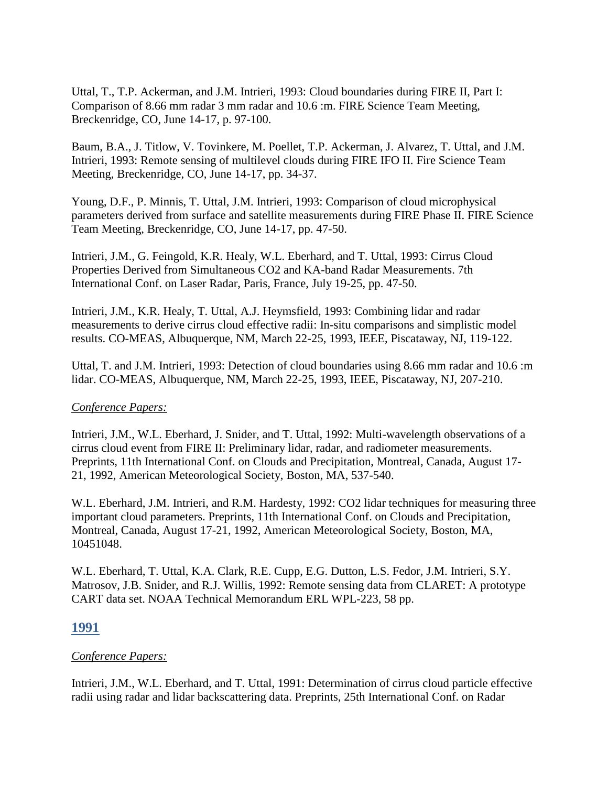Uttal, T., T.P. Ackerman, and J.M. Intrieri, 1993: Cloud boundaries during FIRE II, Part I: Comparison of 8.66 mm radar 3 mm radar and 10.6 :m. FIRE Science Team Meeting, Breckenridge, CO, June 14-17, p. 97-100.

Baum, B.A., J. Titlow, V. Tovinkere, M. Poellet, T.P. Ackerman, J. Alvarez, T. Uttal, and J.M. Intrieri, 1993: Remote sensing of multilevel clouds during FIRE IFO II. Fire Science Team Meeting, Breckenridge, CO, June 14-17, pp. 34-37.

Young, D.F., P. Minnis, T. Uttal, J.M. Intrieri, 1993: Comparison of cloud microphysical parameters derived from surface and satellite measurements during FIRE Phase II. FIRE Science Team Meeting, Breckenridge, CO, June 14-17, pp. 47-50.

Intrieri, J.M., G. Feingold, K.R. Healy, W.L. Eberhard, and T. Uttal, 1993: Cirrus Cloud Properties Derived from Simultaneous CO2 and KA-band Radar Measurements. 7th International Conf. on Laser Radar, Paris, France, July 19-25, pp. 47-50.

Intrieri, J.M., K.R. Healy, T. Uttal, A.J. Heymsfield, 1993: Combining lidar and radar measurements to derive cirrus cloud effective radii: In-situ comparisons and simplistic model results. CO-MEAS, Albuquerque, NM, March 22-25, 1993, IEEE, Piscataway, NJ, 119-122.

Uttal, T. and J.M. Intrieri, 1993: Detection of cloud boundaries using 8.66 mm radar and 10.6 :m lidar. CO-MEAS, Albuquerque, NM, March 22-25, 1993, IEEE, Piscataway, NJ, 207-210.

### *Conference Papers:*

Intrieri, J.M., W.L. Eberhard, J. Snider, and T. Uttal, 1992: Multi-wavelength observations of a cirrus cloud event from FIRE II: Preliminary lidar, radar, and radiometer measurements. Preprints, 11th International Conf. on Clouds and Precipitation, Montreal, Canada, August 17- 21, 1992, American Meteorological Society, Boston, MA, 537-540.

W.L. Eberhard, J.M. Intrieri, and R.M. Hardesty, 1992: CO2 lidar techniques for measuring three important cloud parameters. Preprints, 11th International Conf. on Clouds and Precipitation, Montreal, Canada, August 17-21, 1992, American Meteorological Society, Boston, MA, 10451048.

W.L. Eberhard, T. Uttal, K.A. Clark, R.E. Cupp, E.G. Dutton, L.S. Fedor, J.M. Intrieri, S.Y. Matrosov, J.B. Snider, and R.J. Willis, 1992: Remote sensing data from CLARET: A prototype CART data set. NOAA Technical Memorandum ERL WPL-223, 58 pp.

## **1991**

## *Conference Papers:*

Intrieri, J.M., W.L. Eberhard, and T. Uttal, 1991: Determination of cirrus cloud particle effective radii using radar and lidar backscattering data. Preprints, 25th International Conf. on Radar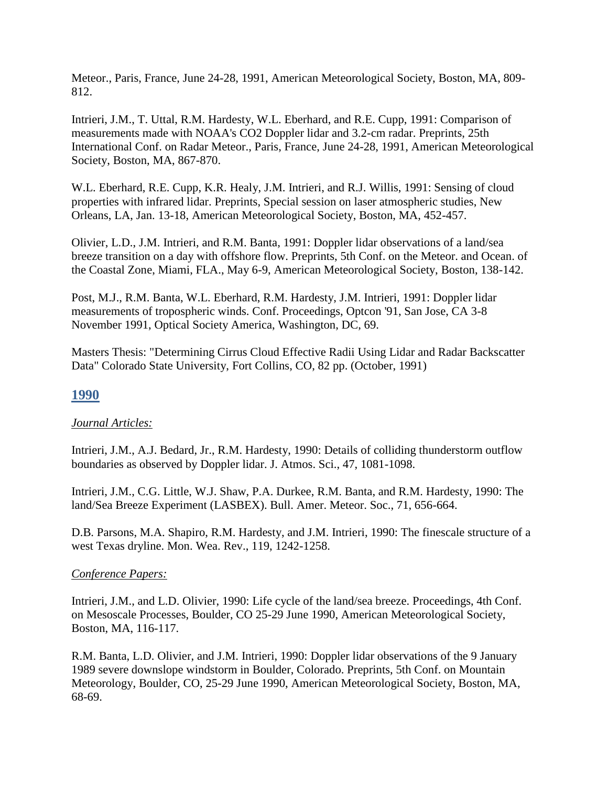Meteor., Paris, France, June 24-28, 1991, American Meteorological Society, Boston, MA, 809- 812.

Intrieri, J.M., T. Uttal, R.M. Hardesty, W.L. Eberhard, and R.E. Cupp, 1991: Comparison of measurements made with NOAA's CO2 Doppler lidar and 3.2-cm radar. Preprints, 25th International Conf. on Radar Meteor., Paris, France, June 24-28, 1991, American Meteorological Society, Boston, MA, 867-870.

W.L. Eberhard, R.E. Cupp, K.R. Healy, J.M. Intrieri, and R.J. Willis, 1991: Sensing of cloud properties with infrared lidar. Preprints, Special session on laser atmospheric studies, New Orleans, LA, Jan. 13-18, American Meteorological Society, Boston, MA, 452-457.

Olivier, L.D., J.M. Intrieri, and R.M. Banta, 1991: Doppler lidar observations of a land/sea breeze transition on a day with offshore flow. Preprints, 5th Conf. on the Meteor. and Ocean. of the Coastal Zone, Miami, FLA., May 6-9, American Meteorological Society, Boston, 138-142.

Post, M.J., R.M. Banta, W.L. Eberhard, R.M. Hardesty, J.M. Intrieri, 1991: Doppler lidar measurements of tropospheric winds. Conf. Proceedings, Optcon '91, San Jose, CA 3-8 November 1991, Optical Society America, Washington, DC, 69.

Masters Thesis: "Determining Cirrus Cloud Effective Radii Using Lidar and Radar Backscatter Data" Colorado State University, Fort Collins, CO, 82 pp. (October, 1991)

# **1990**

## *Journal Articles:*

Intrieri, J.M., A.J. Bedard, Jr., R.M. Hardesty, 1990: Details of colliding thunderstorm outflow boundaries as observed by Doppler lidar. J. Atmos. Sci., 47, 1081-1098.

Intrieri, J.M., C.G. Little, W.J. Shaw, P.A. Durkee, R.M. Banta, and R.M. Hardesty, 1990: The land/Sea Breeze Experiment (LASBEX). Bull. Amer. Meteor. Soc., 71, 656-664.

D.B. Parsons, M.A. Shapiro, R.M. Hardesty, and J.M. Intrieri, 1990: The finescale structure of a west Texas dryline. Mon. Wea. Rev., 119, 1242-1258.

## *Conference Papers:*

Intrieri, J.M., and L.D. Olivier, 1990: Life cycle of the land/sea breeze. Proceedings, 4th Conf. on Mesoscale Processes, Boulder, CO 25-29 June 1990, American Meteorological Society, Boston, MA, 116-117.

R.M. Banta, L.D. Olivier, and J.M. Intrieri, 1990: Doppler lidar observations of the 9 January 1989 severe downslope windstorm in Boulder, Colorado. Preprints, 5th Conf. on Mountain Meteorology, Boulder, CO, 25-29 June 1990, American Meteorological Society, Boston, MA, 68-69.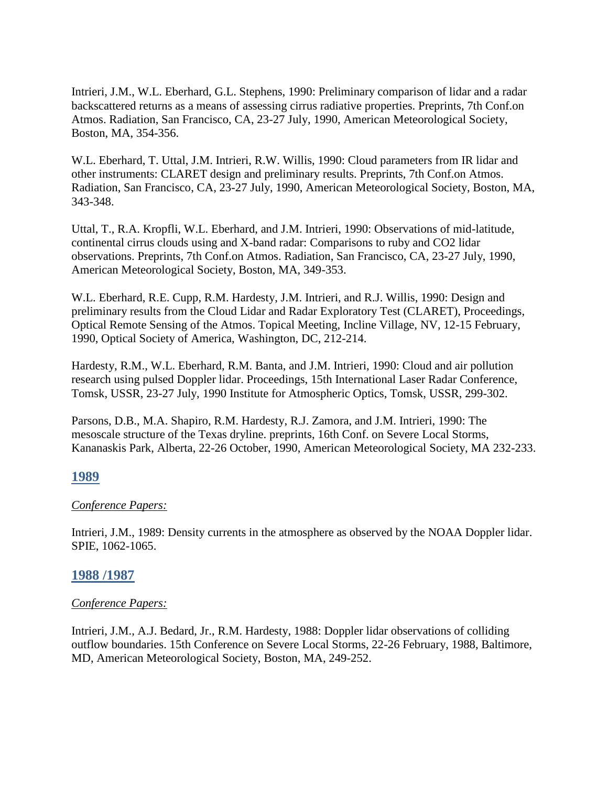Intrieri, J.M., W.L. Eberhard, G.L. Stephens, 1990: Preliminary comparison of lidar and a radar backscattered returns as a means of assessing cirrus radiative properties. Preprints, 7th Conf.on Atmos. Radiation, San Francisco, CA, 23-27 July, 1990, American Meteorological Society, Boston, MA, 354-356.

W.L. Eberhard, T. Uttal, J.M. Intrieri, R.W. Willis, 1990: Cloud parameters from IR lidar and other instruments: CLARET design and preliminary results. Preprints, 7th Conf.on Atmos. Radiation, San Francisco, CA, 23-27 July, 1990, American Meteorological Society, Boston, MA, 343-348.

Uttal, T., R.A. Kropfli, W.L. Eberhard, and J.M. Intrieri, 1990: Observations of mid-latitude, continental cirrus clouds using and X-band radar: Comparisons to ruby and CO2 lidar observations. Preprints, 7th Conf.on Atmos. Radiation, San Francisco, CA, 23-27 July, 1990, American Meteorological Society, Boston, MA, 349-353.

W.L. Eberhard, R.E. Cupp, R.M. Hardesty, J.M. Intrieri, and R.J. Willis, 1990: Design and preliminary results from the Cloud Lidar and Radar Exploratory Test (CLARET), Proceedings, Optical Remote Sensing of the Atmos. Topical Meeting, Incline Village, NV, 12-15 February, 1990, Optical Society of America, Washington, DC, 212-214.

Hardesty, R.M., W.L. Eberhard, R.M. Banta, and J.M. Intrieri, 1990: Cloud and air pollution research using pulsed Doppler lidar. Proceedings, 15th International Laser Radar Conference, Tomsk, USSR, 23-27 July, 1990 Institute for Atmospheric Optics, Tomsk, USSR, 299-302.

Parsons, D.B., M.A. Shapiro, R.M. Hardesty, R.J. Zamora, and J.M. Intrieri, 1990: The mesoscale structure of the Texas dryline. preprints, 16th Conf. on Severe Local Storms, Kananaskis Park, Alberta, 22-26 October, 1990, American Meteorological Society, MA 232-233.

## **1989**

## *Conference Papers:*

Intrieri, J.M., 1989: Density currents in the atmosphere as observed by the NOAA Doppler lidar. SPIE, 1062-1065.

## **1988 /1987**

## *Conference Papers:*

Intrieri, J.M., A.J. Bedard, Jr., R.M. Hardesty, 1988: Doppler lidar observations of colliding outflow boundaries. 15th Conference on Severe Local Storms, 22-26 February, 1988, Baltimore, MD, American Meteorological Society, Boston, MA, 249-252.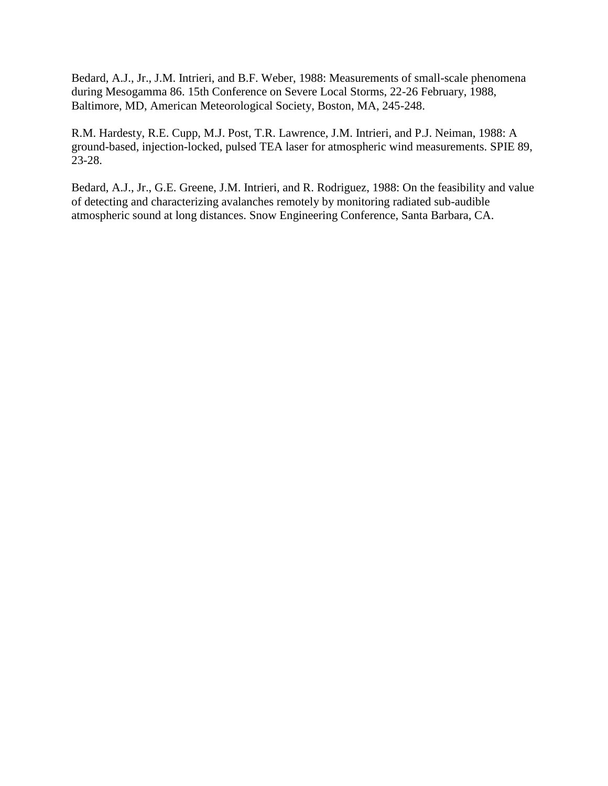Bedard, A.J., Jr., J.M. Intrieri, and B.F. Weber, 1988: Measurements of small-scale phenomena during Mesogamma 86. 15th Conference on Severe Local Storms, 22-26 February, 1988, Baltimore, MD, American Meteorological Society, Boston, MA, 245-248.

R.M. Hardesty, R.E. Cupp, M.J. Post, T.R. Lawrence, J.M. Intrieri, and P.J. Neiman, 1988: A ground-based, injection-locked, pulsed TEA laser for atmospheric wind measurements. SPIE 89, 23-28.

Bedard, A.J., Jr., G.E. Greene, J.M. Intrieri, and R. Rodriguez, 1988: On the feasibility and value of detecting and characterizing avalanches remotely by monitoring radiated sub-audible atmospheric sound at long distances. Snow Engineering Conference, Santa Barbara, CA.